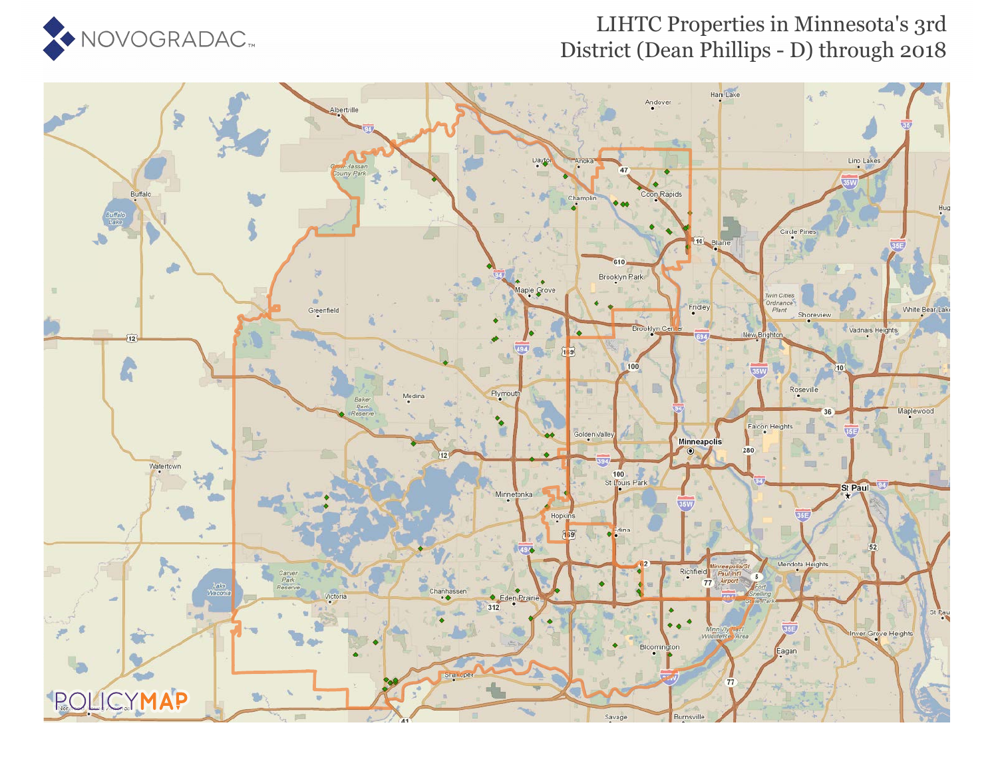

## LIHTC Properties in Minnesota's 3rd District (Dean Phillips - D) through 2018

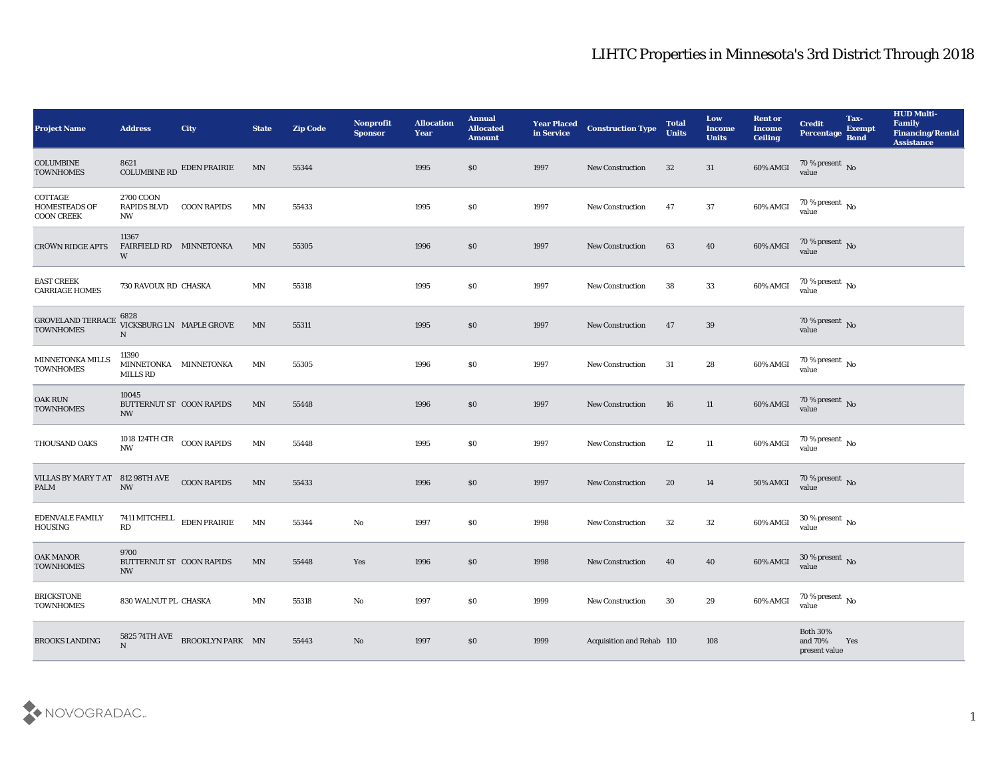| <b>Project Name</b>                                  | <b>Address</b>                                               | <b>City</b>               | <b>State</b>               | <b>Zip Code</b> | Nonprofit<br><b>Sponsor</b> | <b>Allocation</b><br><b>Year</b> | <b>Annual</b><br><b>Allocated</b><br><b>Amount</b> | <b>Year Placed</b><br>in Service | <b>Construction Type</b>  | <b>Total</b><br><b>Units</b> | Low<br><b>Income</b><br><b>Units</b> | <b>Rent or</b><br><b>Income</b><br><b>Ceiling</b> | <b>Credit</b><br>Percentage             | Tax-<br><b>Exempt</b><br><b>Bond</b> | <b>HUD Multi-</b><br>Family<br>Financing/Rental<br><b>Assistance</b> |
|------------------------------------------------------|--------------------------------------------------------------|---------------------------|----------------------------|-----------------|-----------------------------|----------------------------------|----------------------------------------------------|----------------------------------|---------------------------|------------------------------|--------------------------------------|---------------------------------------------------|-----------------------------------------|--------------------------------------|----------------------------------------------------------------------|
| <b>COLUMBINE</b><br><b>TOWNHOMES</b>                 | 8621                                                         | COLUMBINE RD EDEN PRAIRIE | MN                         | 55344           |                             | 1995                             | \$0                                                | 1997                             | <b>New Construction</b>   | 32                           | 31                                   | 60% AMGI                                          | $70\,\%$ present $\,$ No value          |                                      |                                                                      |
| COTTAGE<br><b>HOMESTEADS OF</b><br><b>COON CREEK</b> | 2700 COON<br><b>RAPIDS BLVD</b><br>NW                        | <b>COON RAPIDS</b>        | MN                         | 55433           |                             | 1995                             | \$0                                                | 1997                             | <b>New Construction</b>   | 47                           | 37                                   | 60% AMGI                                          | $70\,\%$ present $\,$ No value          |                                      |                                                                      |
| <b>CROWN RIDGE APTS</b>                              | 11367<br>FAIRFIELD RD MINNETONKA<br>W                        |                           | MN                         | 55305           |                             | 1996                             | $\$0$                                              | 1997                             | <b>New Construction</b>   | 63                           | 40                                   | 60% AMGI                                          | $70\,\%$ present $\,$ No value          |                                      |                                                                      |
| <b>EAST CREEK</b><br><b>CARRIAGE HOMES</b>           | 730 RAVOUX RD CHASKA                                         |                           | MN                         | 55318           |                             | 1995                             | \$0                                                | 1997                             | <b>New Construction</b>   | 38                           | 33                                   | 60% AMGI                                          | $70\,\%$ present $\,$ No value          |                                      |                                                                      |
| <b>GROVELAND TERRACE</b><br><b>TOWNHOMES</b>         | 6828<br>$\mathbf N$                                          | VICKSBURG LN MAPLE GROVE  | MN                         | 55311           |                             | 1995                             | \$0                                                | 1997                             | <b>New Construction</b>   | 47                           | 39                                   |                                                   | $70\,\%$ present $\,$ No value          |                                      |                                                                      |
| MINNETONKA MILLS<br><b>TOWNHOMES</b>                 | 11390<br>MINNETONKA MINNETONKA<br>MILLS RD                   |                           | $\mathbf{M} \mathbf{N}$    | 55305           |                             | 1996                             | \$0                                                | 1997                             | New Construction          | 31                           | 28                                   | 60% AMGI                                          | $70\,\%$ present $\,$ No value          |                                      |                                                                      |
| <b>OAK RUN</b><br><b>TOWNHOMES</b>                   | 10045<br>BUTTERNUT ST COON RAPIDS<br>NW                      |                           | MN                         | 55448           |                             | 1996                             | \$0                                                | 1997                             | <b>New Construction</b>   | 16                           | 11                                   | 60% AMGI                                          | $70\,\%$ present $\,$ No value          |                                      |                                                                      |
| THOUSAND OAKS                                        | 1018 124TH CIR COON RAPIDS<br><b>NW</b>                      |                           | MN                         | 55448           |                             | 1995                             | \$0                                                | 1997                             | <b>New Construction</b>   | 12                           | 11                                   | 60% AMGI                                          | $70\,\%$ present $\,$ No $\,$<br>value  |                                      |                                                                      |
| VILLAS BY MARY T AT 812 98TH AVE<br><b>PALM</b>      | $\ensuremath{\text{NW}}$                                     | <b>COON RAPIDS</b>        | $\mathop{\rm MN}\nolimits$ | 55433           |                             | 1996                             | \$0                                                | 1997                             | <b>New Construction</b>   | 20                           | 14                                   | 50% AMGI                                          | $70\,\%$ present $\,$ No value          |                                      |                                                                      |
| <b>EDENVALE FAMILY</b><br>HOUSING                    | 7411 MITCHELL<br>RD                                          | EDEN PRAIRIE              | MN                         | 55344           | $\rm\thinspace No$          | 1997                             | \$0                                                | 1998                             | <b>New Construction</b>   | 32                           | 32                                   | 60% AMGI                                          | $30\,\%$ present $\,$ No value          |                                      |                                                                      |
| <b>OAK MANOR</b><br><b>TOWNHOMES</b>                 | 9700<br>BUTTERNUT ST COON RAPIDS<br>$\ensuremath{\text{NW}}$ |                           | MN                         | 55448           | Yes                         | 1996                             | \$0                                                | 1998                             | <b>New Construction</b>   | 40                           | 40                                   | 60% AMGI                                          | 30 % present $\,$ No $\,$<br>value      |                                      |                                                                      |
| <b>BRICKSTONE</b><br><b>TOWNHOMES</b>                | 830 WALNUT PL CHASKA                                         |                           | MN                         | 55318           | No                          | 1997                             | \$0                                                | 1999                             | <b>New Construction</b>   | 30                           | 29                                   | 60% AMGI                                          | $70\,\%$ present $\,$ No value          |                                      |                                                                      |
| <b>BROOKS LANDING</b>                                | 5825 74TH AVE<br>N                                           | BROOKLYN PARK MN          |                            | 55443           | $\rm\, No$                  | 1997                             | \$0                                                | 1999                             | Acquisition and Rehab 110 |                              | 108                                  |                                                   | Both $30\%$<br>and 70%<br>present value | Yes                                  |                                                                      |

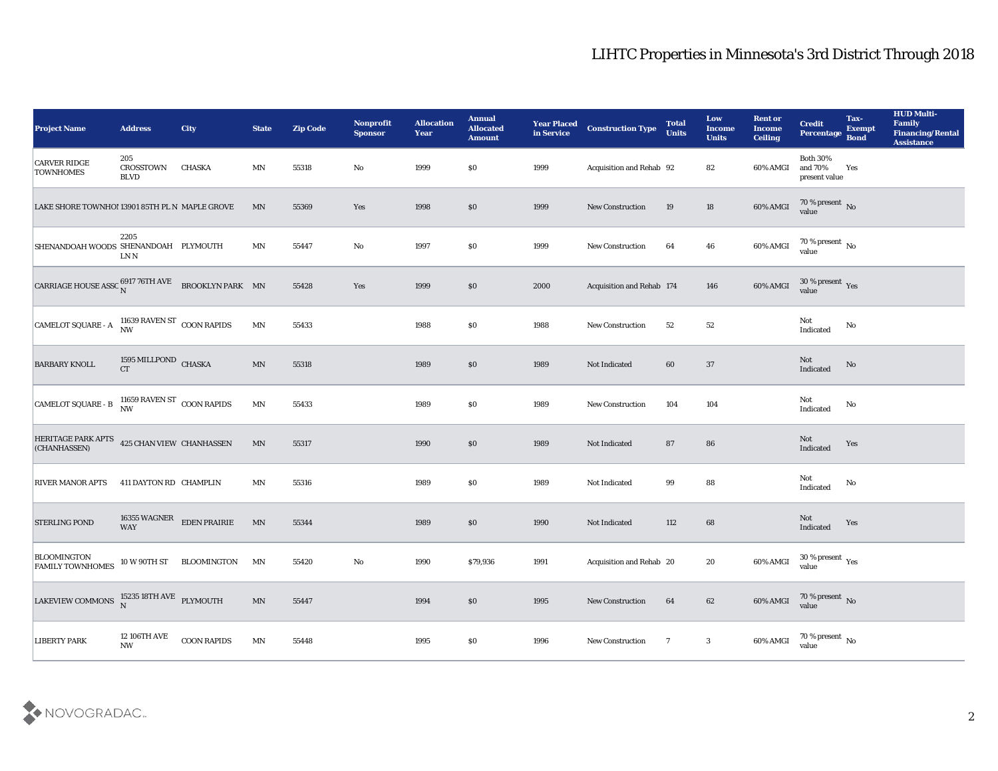## LIHTC Properties in Minnesota's 3rd District Through 2018

| <b>Project Name</b>                                                                            | <b>Address</b>                         | <b>City</b>                                              | <b>State</b>             | <b>Zip Code</b> | Nonprofit<br><b>Sponsor</b> | <b>Allocation</b><br><b>Year</b> | <b>Annual</b><br><b>Allocated</b><br><b>Amount</b> | <b>Year Placed</b><br>in Service | <b>Construction Type</b>  | <b>Total</b><br><b>Units</b> | Low<br><b>Income</b><br><b>Units</b> | <b>Rent or</b><br><b>Income</b><br><b>Ceiling</b> | <b>Credit</b><br>Percentage                 | Tax-<br><b>Exempt</b><br><b>Bond</b> | <b>HUD Multi-</b><br>Family<br><b>Financing/Rental</b><br><b>Assistance</b> |
|------------------------------------------------------------------------------------------------|----------------------------------------|----------------------------------------------------------|--------------------------|-----------------|-----------------------------|----------------------------------|----------------------------------------------------|----------------------------------|---------------------------|------------------------------|--------------------------------------|---------------------------------------------------|---------------------------------------------|--------------------------------------|-----------------------------------------------------------------------------|
| <b>CARVER RIDGE</b><br><b>TOWNHOMES</b>                                                        | 205<br><b>CROSSTOWN</b><br><b>BLVD</b> | <b>CHASKA</b>                                            | MN                       | 55318           | No                          | 1999                             | $\$0$                                              | 1999                             | Acquisition and Rehab 92  |                              | 82                                   | 60% AMGI                                          | <b>Both 30%</b><br>and 70%<br>present value | Yes                                  |                                                                             |
| LAKE SHORE TOWNHO! 13901 85TH PL N MAPLE GROVE                                                 |                                        |                                                          | MN                       | 55369           | Yes                         | 1998                             | \$0                                                | 1999                             | New Construction          | 19                           | 18                                   | 60% AMGI                                          | $\frac{70\%}{value}$ No                     |                                      |                                                                             |
| SHENANDOAH WOODS SHENANDOAH PLYMOUTH                                                           | 2205<br>LN N                           |                                                          | MN                       | 55447           | No                          | 1997                             | $\$0$                                              | 1999                             | <b>New Construction</b>   | 64                           | 46                                   | 60% AMGI                                          | 70 % present No<br>value                    |                                      |                                                                             |
| CARRIAGE HOUSE ASSC $_N^{6917}$ 76TH AVE BROOKLYN PARK MN                                      |                                        |                                                          |                          | 55428           | $\mathbf{Yes}$              | 1999                             | \$0\$                                              | 2000                             | Acquisition and Rehab 174 |                              | 146                                  | 60% AMGI                                          | $30\,\%$ present $\,$ Yes value             |                                      |                                                                             |
| CAMELOT SQUARE - A                                                                             | 11639 RAVEN ST $\,$ COON RAPIDS NW     |                                                          | MN                       | 55433           |                             | 1988                             | \$0                                                | 1988                             | <b>New Construction</b>   | 52                           | 52                                   |                                                   | Not<br>Indicated                            | No                                   |                                                                             |
| <b>BARBARY KNOLL</b>                                                                           | $1595\,\rm MLLPOND$ CHASKA CT          |                                                          | $\mathbf{M} \mathbf{N}$  | 55318           |                             | 1989                             | \$0\$                                              | 1989                             | Not Indicated             | 60                           | 37                                   |                                                   | Not<br>Indicated                            | No                                   |                                                                             |
| CAMELOT SQUARE - B $^{11659}_{\text{NW}}$ RAVEN ST COON RAPIDS                                 |                                        |                                                          | $\mathbf{M} \mathbf{N}$  | 55433           |                             | 1989                             | $\$0$                                              | 1989                             | <b>New Construction</b>   | 104                          | 104                                  |                                                   | Not<br>Indicated                            | No                                   |                                                                             |
| HERITAGE PARK APTS 425 CHAN VIEW CHANHASSEN<br>(CHANHASSEN)                                    |                                        |                                                          | MN                       | 55317           |                             | 1990                             | \$0\$                                              | 1989                             | Not Indicated             | 87                           | 86                                   |                                                   | Not<br>Indicated                            | Yes                                  |                                                                             |
| <b>RIVER MANOR APTS</b>                                                                        | 411 DAYTON RD CHAMPLIN                 |                                                          | MN                       | 55316           |                             | 1989                             | \$0                                                | 1989                             | Not Indicated             | 99                           | 88                                   |                                                   | Not<br>Indicated                            | No                                   |                                                                             |
| <b>STERLING POND</b>                                                                           |                                        | $16355\text{ WAGNER}\quad$ EDEN PRAIRIE WAY              | $\ensuremath{\text{MN}}$ | 55344           |                             | 1989                             | \$0\$                                              | 1990                             | Not Indicated             | 112                          | 68                                   |                                                   | Not<br>Indicated                            | Yes                                  |                                                                             |
| <b>BLOOMINGTON</b><br><b>FAMILY TOWNHOMES</b>                                                  |                                        | $10\,\rm{W}$ $90\,\rm{TH}\,\rm{ST}$ $\qquad$ BLOOMINGTON | MN                       | 55420           | No                          | 1990                             | \$79,936                                           | 1991                             | Acquisition and Rehab 20  |                              | 20                                   | 60% AMGI                                          | 30 % present $_{\rm Yes}$<br>value          |                                      |                                                                             |
| LAKEVIEW COMMONS $\begin{array}{cc} 15235 \ 18\textrm{TH} \ \textrm{AVE} \end{array}$ PLYMOUTH |                                        |                                                          | $\ensuremath{\text{MN}}$ | 55447           |                             | 1994                             | \$0                                                | 1995                             | <b>New Construction</b>   | 64                           | 62                                   |                                                   | 60% AMGI 70 % present No                    |                                      |                                                                             |
| <b>LIBERTY PARK</b>                                                                            | 12 106TH AVE<br>$\mathbf{N}\mathbf{W}$ | ${\rm COON}$ RAPIDS                                      | MN                       | 55448           |                             | 1995                             | $\$0$                                              | 1996                             | <b>New Construction</b>   | $\overline{7}$               | 3                                    | 60% AMGI                                          | $70$ % present $\,$ No value                |                                      |                                                                             |

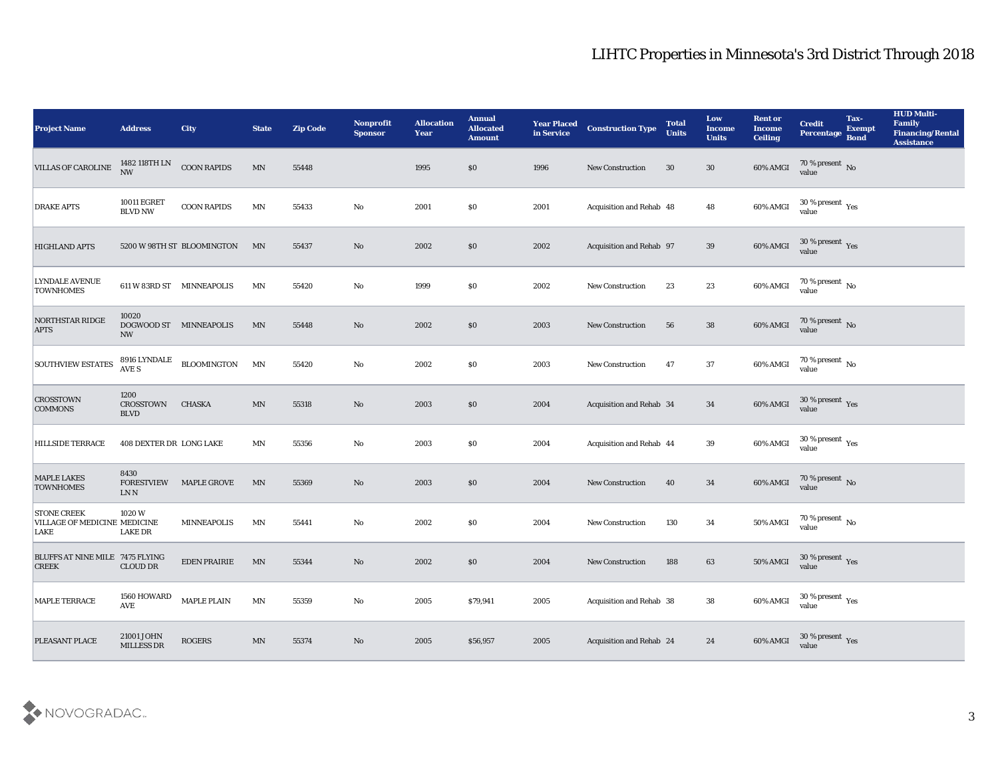| <b>Project Name</b>                                               | <b>Address</b>                          | <b>City</b>                | <b>State</b>            | <b>Zip Code</b> | Nonprofit<br><b>Sponsor</b> | <b>Allocation</b><br><b>Year</b> | <b>Annual</b><br><b>Allocated</b><br><b>Amount</b> | <b>Year Placed</b><br>in Service | <b>Construction Type</b>        | <b>Total</b><br><b>Units</b> | Low<br><b>Income</b><br><b>Units</b> | <b>Rent or</b><br><b>Income</b><br><b>Ceiling</b> | <b>Credit</b><br>Percentage             | Tax-<br><b>Exempt</b><br><b>Bond</b> | <b>HUD Multi-</b><br>Family<br><b>Financing/Rental</b><br><b>Assistance</b> |
|-------------------------------------------------------------------|-----------------------------------------|----------------------------|-------------------------|-----------------|-----------------------------|----------------------------------|----------------------------------------------------|----------------------------------|---------------------------------|------------------------------|--------------------------------------|---------------------------------------------------|-----------------------------------------|--------------------------------------|-----------------------------------------------------------------------------|
| <b>VILLAS OF CAROLINE</b>                                         | 1482 118TH LN<br>NW                     | <b>COON RAPIDS</b>         | MN                      | 55448           |                             | 1995                             | \$0                                                | 1996                             | <b>New Construction</b>         | 30                           | 30                                   | 60% AMGI                                          | 70 % present No<br>value                |                                      |                                                                             |
| <b>DRAKE APTS</b>                                                 | <b>10011 EGRET</b><br><b>BLVD NW</b>    | <b>COON RAPIDS</b>         | $\mathbf{M} \mathbf{N}$ | 55433           | No                          | 2001                             | $\$0$                                              | 2001                             | Acquisition and Rehab 48        |                              | 48                                   | 60% AMGI                                          | $30\,\%$ present $\,$ Yes value         |                                      |                                                                             |
| <b>HIGHLAND APTS</b>                                              |                                         | 5200 W 98TH ST BLOOMINGTON | MN                      | 55437           | No                          | 2002                             | \$0\$                                              | 2002                             | Acquisition and Rehab 97        |                              | 39                                   | 60% AMGI                                          | $30\,\%$ present $\,$ Yes value         |                                      |                                                                             |
| <b>LYNDALE AVENUE</b><br><b>TOWNHOMES</b>                         |                                         | 611 W 83RD ST MINNEAPOLIS  | MN                      | 55420           | No                          | 1999                             | \$0                                                | 2002                             | New Construction                | 23                           | 23                                   | 60% AMGI                                          | $70\,\%$ present $\,$ No value          |                                      |                                                                             |
| <b>NORTHSTAR RIDGE</b><br><b>APTS</b>                             | 10020<br><b>NW</b>                      | DOGWOOD ST MINNEAPOLIS     | MN                      | 55448           | No                          | 2002                             | \$0                                                | 2003                             | <b>New Construction</b>         | 56                           | ${\bf 38}$                           | 60% AMGI                                          | $70\,\%$ present $\,$ No value          |                                      |                                                                             |
| <b>SOUTHVIEW ESTATES</b>                                          | 8916 LYNDALE<br>AVE S                   | <b>BLOOMINGTON</b>         | MN                      | 55420           | No                          | 2002                             | \$0                                                | 2003                             | <b>New Construction</b>         | 47                           | 37                                   | 60% AMGI                                          | $70\,\%$ present $\,$ No value          |                                      |                                                                             |
| <b>CROSSTOWN</b><br><b>COMMONS</b>                                | 1200<br><b>CROSSTOWN</b><br><b>BLVD</b> | <b>CHASKA</b>              | $\mathbf{M} \mathbf{N}$ | 55318           | No                          | 2003                             | \$0\$                                              | 2004                             | Acquisition and Rehab 34        |                              | 34                                   | 60% AMGI                                          | $30\,\%$ present $\,\mathrm{Yes}$ value |                                      |                                                                             |
| <b>HILLSIDE TERRACE</b>                                           | 408 DEXTER DR LONG LAKE                 |                            | MN                      | 55356           | No                          | 2003                             | \$0                                                | 2004                             | <b>Acquisition and Rehab 44</b> |                              | 39                                   | 60% AMGI                                          | 30 % present $_{\rm Yes}$<br>value      |                                      |                                                                             |
| <b>MAPLE LAKES</b><br><b>TOWNHOMES</b>                            | 8430<br><b>FORESTVIEW</b><br>LN N       | <b>MAPLE GROVE</b>         | MN                      | 55369           | No                          | 2003                             | \$0\$                                              | 2004                             | <b>New Construction</b>         | 40                           | 34                                   | 60% AMGI                                          | $70\,\%$ present $\,$ No $\,$ value     |                                      |                                                                             |
| <b>STONE CREEK</b><br><b>VILLAGE OF MEDICINE MEDICINE</b><br>LAKE | 1020W<br><b>LAKE DR</b>                 | <b>MINNEAPOLIS</b>         | $\mathbf{M} \mathbf{N}$ | 55441           | No                          | 2002                             | \$0                                                | 2004                             | <b>New Construction</b>         | 130                          | 34                                   | 50% AMGI                                          | 70 % present $\,$ No $\,$<br>value      |                                      |                                                                             |
| BLUFFS AT NINE MILE 7475 FLYING<br><b>CREEK</b>                   | <b>CLOUD DR</b>                         | <b>EDEN PRAIRIE</b>        | MN                      | 55344           | No                          | 2002                             | \$0                                                | 2004                             | <b>New Construction</b>         | 188                          | 63                                   | 50% AMGI                                          | 30 % present Yes<br>value               |                                      |                                                                             |
| MAPLE TERRACE                                                     | 1560 HOWARD<br>$\operatorname{AVE}$     | <b>MAPLE PLAIN</b>         | $\mathbf{M} \mathbf{N}$ | 55359           | $\mathbf {No}$              | 2005                             | \$79,941                                           | 2005                             | Acquisition and Rehab 38        |                              | ${\bf 38}$                           | 60% AMGI                                          | $30\,\%$ present $\,$ Yes value         |                                      |                                                                             |
| PLEASANT PLACE                                                    | 21001 JOHN<br>MILLESS DR                | <b>ROGERS</b>              | $\mathbf{M} \mathbf{N}$ | 55374           | $\rm\thinspace No$          | 2005                             | \$56,957                                           | 2005                             | Acquisition and Rehab 24        |                              | 24                                   | 60% AMGI                                          | $30\,\%$ present $\,$ Yes value         |                                      |                                                                             |

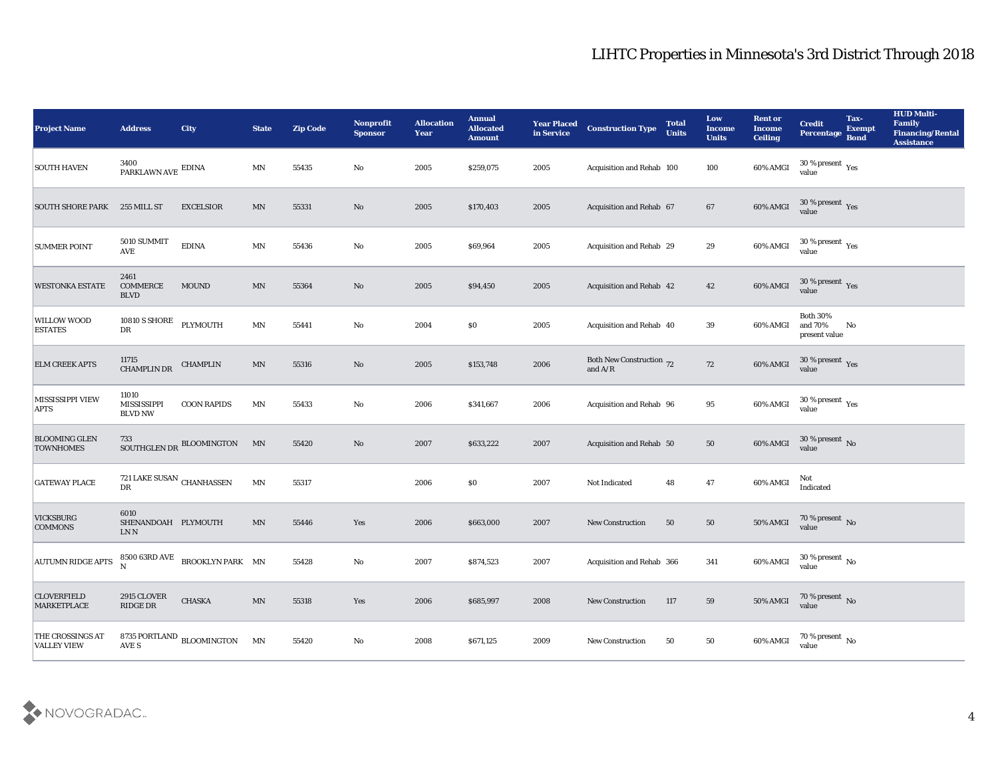| <b>Project Name</b>                           | <b>Address</b>                                  | <b>City</b>                                                                           | <b>State</b>             | <b>Zip Code</b> | Nonprofit<br><b>Sponsor</b> | <b>Allocation</b><br><b>Year</b> | <b>Annual</b><br><b>Allocated</b><br><b>Amount</b> | <b>Year Placed</b><br>in Service | <b>Construction Type</b>                                                          | <b>Total</b><br><b>Units</b> | Low<br><b>Income</b><br><b>Units</b> | <b>Rent or</b><br><b>Income</b><br><b>Ceiling</b> | <b>Credit</b><br><b>Percentage</b>          | Tax-<br><b>Exempt</b><br><b>Bond</b> | <b>HUD Multi-</b><br>Family<br><b>Financing/Rental</b><br><b>Assistance</b> |
|-----------------------------------------------|-------------------------------------------------|---------------------------------------------------------------------------------------|--------------------------|-----------------|-----------------------------|----------------------------------|----------------------------------------------------|----------------------------------|-----------------------------------------------------------------------------------|------------------------------|--------------------------------------|---------------------------------------------------|---------------------------------------------|--------------------------------------|-----------------------------------------------------------------------------|
| <b>SOUTH HAVEN</b>                            | 3400<br>PARKLAWN AVE EDINA                      |                                                                                       | $\mathbf{M} \mathbf{N}$  | 55435           | No                          | 2005                             | \$259,075                                          | 2005                             | Acquisition and Rehab 100                                                         |                              | 100                                  | 60% AMGI                                          | $30\,\%$ present $\,$ Yes value             |                                      |                                                                             |
| <b>SOUTH SHORE PARK</b>                       | 255 MILL ST                                     | <b>EXCELSIOR</b>                                                                      | MN                       | 55331           | No                          | 2005                             | \$170,403                                          | 2005                             | Acquisition and Rehab 67                                                          |                              | 67                                   | 60% AMGI                                          | $30\,\%$ present $\,$ Yes value             |                                      |                                                                             |
| <b>SUMMER POINT</b>                           | 5010 SUMMIT<br><b>AVE</b>                       | <b>EDINA</b>                                                                          | $\mathbf{M} \mathbf{N}$  | 55436           | $\mathbf {No}$              | 2005                             | \$69,964                                           | 2005                             | Acquisition and Rehab 29                                                          |                              | 29                                   | 60% AMGI                                          | $30\,\%$ present $\,$ Yes value             |                                      |                                                                             |
| <b>WESTONKA ESTATE</b>                        | 2461<br>COMMERCE<br><b>BLVD</b>                 | <b>MOUND</b>                                                                          | $\mathbf{M} \mathbf{N}$  | 55364           | No                          | 2005                             | \$94,450                                           | 2005                             | Acquisition and Rehab 42                                                          |                              | 42                                   | 60% AMGI                                          | $30\,\%$ present $\,$ Yes value             |                                      |                                                                             |
| <b>WILLOW WOOD</b><br><b>ESTATES</b>          | 10810 S SHORE<br>DR                             | PLYMOUTH                                                                              | $\ensuremath{\text{MN}}$ | 55441           | $\mathbf{N}\mathbf{o}$      | 2004                             | \$0                                                | 2005                             | Acquisition and Rehab 40                                                          |                              | 39                                   | 60% AMGI                                          | <b>Both 30%</b><br>and 70%<br>present value | No                                   |                                                                             |
| <b>ELM CREEK APTS</b>                         | 11715<br>CHAMPLIN DR                            | <b>CHAMPLIN</b>                                                                       | $\mathbf{M} \mathbf{N}$  | 55316           | No                          | 2005                             | \$153,748                                          | 2006                             | Both New Construction 72<br>and $\ensuremath{\mathrm{A}}/\ensuremath{\mathrm{R}}$ |                              | ${\bf 72}$                           | 60% AMGI                                          | $30\,\%$ present $\,$ Yes value             |                                      |                                                                             |
| MISSISSIPPI VIEW<br><b>APTS</b>               | 11010<br><b>MISSISSIPPI</b><br><b>BLVD NW</b>   | <b>COON RAPIDS</b>                                                                    | $\mathbf{M} \mathbf{N}$  | 55433           | $\mathbf{N}\mathbf{o}$      | 2006                             | \$341,667                                          | 2006                             | Acquisition and Rehab 96                                                          |                              | 95                                   | 60% AMGI                                          | $30\,\%$ present $\,$ Yes value             |                                      |                                                                             |
| <b>BLOOMING GLEN</b><br><b>TOWNHOMES</b>      | 733                                             | SOUTHGLEN DR BLOOMINGTON                                                              | MN                       | 55420           | No                          | 2007                             | \$633,222                                          | 2007                             | Acquisition and Rehab 50                                                          |                              | 50                                   | 60% AMGI                                          | $30\,\%$ present $\,$ No value              |                                      |                                                                             |
| <b>GATEWAY PLACE</b>                          | 721 LAKE SUSAN $_{\rm CHANHASSEN}$<br>DR        |                                                                                       | $\mathbf{M} \mathbf{N}$  | 55317           |                             | 2006                             | \$0                                                | 2007                             | Not Indicated                                                                     | 48                           | 47                                   | 60% AMGI                                          | Not<br>Indicated                            |                                      |                                                                             |
| <b>VICKSBURG</b><br><b>COMMONS</b>            | 6010<br>SHENANDOAH PLYMOUTH<br>LN N             |                                                                                       | $\mathbf{M} \mathbf{N}$  | 55446           | Yes                         | 2006                             | \$663,000                                          | 2007                             | <b>New Construction</b>                                                           | 50                           | $50\,$                               | 50% AMGI                                          | $70\,\%$ present $\,$ No value              |                                      |                                                                             |
| <b>AUTUMN RIDGE APTS</b>                      | $\mathbf N$                                     | $8500\; 63\text{RD}\;\text{AVE}\newline \text{BROOKLYN} \;\text{PARK}\quad \text{MN}$ |                          | 55428           | No                          | 2007                             | \$874,523                                          | 2007                             | Acquisition and Rehab 366                                                         |                              | 341                                  | 60% AMGI                                          | $30\,\%$ present $\,$ No $\,$<br>value      |                                      |                                                                             |
| <b>CLOVERFIELD</b><br><b>MARKETPLACE</b>      | 2915 CLOVER<br>$\mathop{\rm RIDGE}\nolimits$ DR | ${\rm CHASKA}$                                                                        | $\mathbf{M} \mathbf{N}$  | 55318           | Yes                         | 2006                             | \$685,997                                          | 2008                             | <b>New Construction</b>                                                           | 117                          | 59                                   | 50% AMGI                                          | $70\,\%$ present $\,$ No value              |                                      |                                                                             |
| <b>THE CROSSINGS AT</b><br><b>VALLEY VIEW</b> | AVE S                                           | 8735 PORTLAND $_{\rm BLOOMINGTON}$                                                    | MN                       | 55420           | $\rm\thinspace No$          | 2008                             | \$671,125                                          | 2009                             | New Construction                                                                  | 50                           | $50\,$                               | 60% AMGI                                          | 70 % present $\,$ No $\,$<br>value          |                                      |                                                                             |

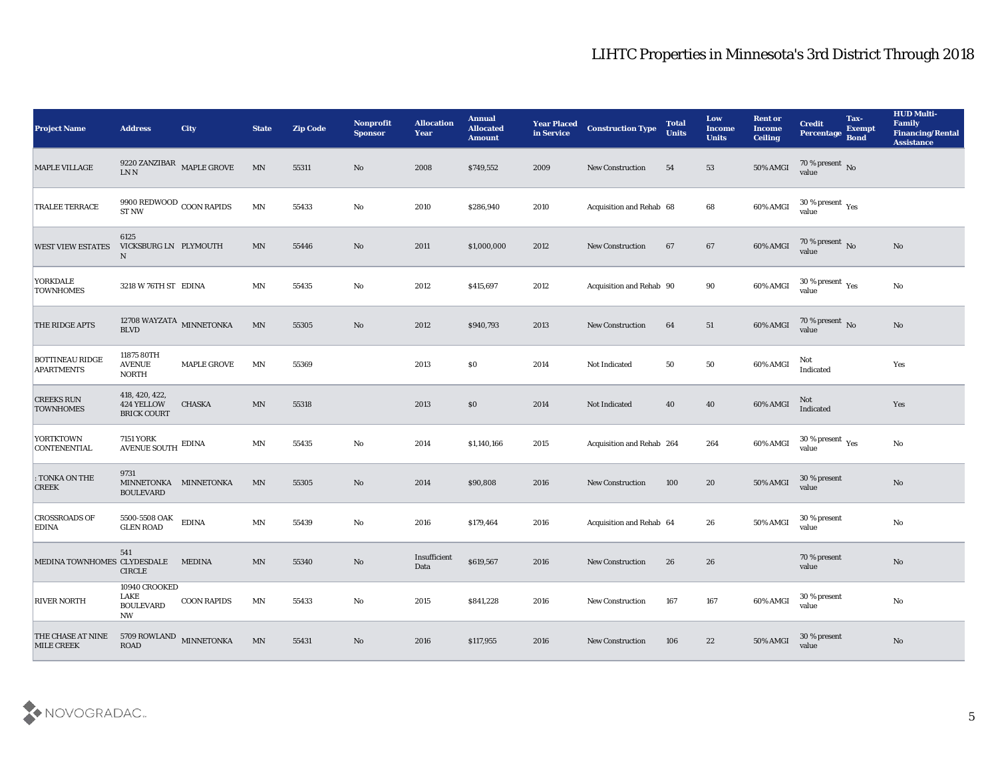| <b>Project Name</b>                         | <b>Address</b>                                         | City               | <b>State</b>             | <b>Zip Code</b> | <b>Nonprofit</b><br><b>Sponsor</b> | <b>Allocation</b><br><b>Year</b> | <b>Annual</b><br><b>Allocated</b><br><b>Amount</b> | <b>Year Placed</b><br>in Service | <b>Construction Type</b>  | <b>Total</b><br><b>Units</b> | Low<br><b>Income</b><br><b>Units</b> | <b>Rent or</b><br><b>Income</b><br>Ceiling | <b>Credit</b><br><b>Percentage</b>                   | Tax-<br><b>Exempt</b><br><b>Bond</b> | <b>HUD Multi-</b><br>Family<br><b>Financing/Rental</b><br><b>Assistance</b> |
|---------------------------------------------|--------------------------------------------------------|--------------------|--------------------------|-----------------|------------------------------------|----------------------------------|----------------------------------------------------|----------------------------------|---------------------------|------------------------------|--------------------------------------|--------------------------------------------|------------------------------------------------------|--------------------------------------|-----------------------------------------------------------------------------|
| MAPLE VILLAGE                               | 9220 ZANZIBAR $\,$ MAPLE GROVE LN N                    |                    | $\ensuremath{\text{MN}}$ | 55311           | No                                 | 2008                             | \$749,552                                          | 2009                             | <b>New Construction</b>   | 54                           | 53                                   | 50% AMGI                                   | $70\,\%$ present $\,$ No value                       |                                      |                                                                             |
| <b>TRALEE TERRACE</b>                       | 9900 REDWOOD $_{\rm COON}$ RAPIDS ST NW                |                    | $\ensuremath{\text{MN}}$ | 55433           | No                                 | 2010                             | \$286,940                                          | 2010                             | Acquisition and Rehab 68  |                              | 68                                   | 60% AMGI                                   | $30\,\%$ present $\,$ Yes value                      |                                      |                                                                             |
| <b>WEST VIEW ESTATES</b>                    | 6125<br>VICKSBURG LN PLYMOUTH<br>$\mathbf N$           |                    | MN                       | 55446           | No                                 | 2011                             | \$1,000,000                                        | 2012                             | <b>New Construction</b>   | 67                           | 67                                   | 60% AMGI                                   | 70 % present No<br>value                             |                                      | No                                                                          |
| YORKDALE<br><b>TOWNHOMES</b>                | 3218 W 76TH ST EDINA                                   |                    | $\mathbf{M} \mathbf{N}$  | 55435           | No                                 | 2012                             | \$415,697                                          | 2012                             | Acquisition and Rehab 90  |                              | 90                                   | 60% AMGI                                   | 30 % present $\rm\thinspace\gamma_{\rm es}$<br>value |                                      | $\rm\thinspace No$                                                          |
| <b>THE RIDGE APTS</b>                       | 12708 WAYZATA $\,$ MINNETONKA $\,$ BLVD                |                    | $\mbox{MN}$              | 55305           | No                                 | 2012                             | \$940,793                                          | 2013                             | <b>New Construction</b>   | 64                           | 51                                   | 60% AMGI                                   | $70\,\%$ present $\,$ No value                       |                                      | No                                                                          |
| <b>BOTTINEAU RIDGE</b><br><b>APARTMENTS</b> | 11875 80TH<br><b>AVENUE</b><br><b>NORTH</b>            | <b>MAPLE GROVE</b> | MN                       | 55369           |                                    | 2013                             | \$0                                                | 2014                             | Not Indicated             | 50                           | 50                                   | 60% AMGI                                   | Not<br>Indicated                                     |                                      | Yes                                                                         |
| <b>CREEKS RUN</b><br><b>TOWNHOMES</b>       | 418, 420, 422,<br>424 YELLOW<br><b>BRICK COURT</b>     | <b>CHASKA</b>      | $\ensuremath{\text{MN}}$ | 55318           |                                    | 2013                             | \$0                                                | 2014                             | Not Indicated             | 40                           | 40                                   | 60% AMGI                                   | Not<br>Indicated                                     |                                      | Yes                                                                         |
| <b>YORTKTOWN</b><br><b>CONTENENTIAL</b>     | 7151 YORK<br><b>AVENUE SOUTH</b>                       | <b>EDINA</b>       | MN                       | 55435           | No                                 | 2014                             | \$1,140,166                                        | 2015                             | Acquisition and Rehab 264 |                              | 264                                  | 60% AMGI                                   | 30 % present $\gamma_{\rm es}$<br>value              |                                      | No                                                                          |
| : TONKA ON THE<br><b>CREEK</b>              | 9731<br>MINNETONKA MINNETONKA<br><b>BOULEVARD</b>      |                    | MN                       | 55305           | No                                 | 2014                             | \$90,808                                           | 2016                             | <b>New Construction</b>   | 100                          | 20                                   | <b>50% AMGI</b>                            | 30 % present<br>value                                |                                      | $\rm No$                                                                    |
| <b>CROSSROADS OF</b><br><b>EDINA</b>        | 5500-5508 OAK<br><b>GLEN ROAD</b>                      | <b>EDINA</b>       | MN                       | 55439           | No                                 | 2016                             | \$179,464                                          | 2016                             | Acquisition and Rehab 64  |                              | 26                                   | 50% AMGI                                   | 30 % present<br>value                                |                                      | $\rm\thinspace No$                                                          |
| MEDINA TOWNHOMES CLYDESDALE MEDINA          | 541<br><b>CIRCLE</b>                                   |                    | MN                       | 55340           | No                                 | Insufficient<br>Data             | \$619,567                                          | 2016                             | New Construction          | 26                           | 26                                   |                                            | 70 % present<br>value                                |                                      | $\mathbf{N}\mathbf{o}$                                                      |
| <b>RIVER NORTH</b>                          | 10940 CROOKED<br>LAKE<br><b>BOULEVARD</b><br><b>NW</b> | <b>COON RAPIDS</b> | $\mathbf{M} \mathbf{N}$  | 55433           | $\rm\thinspace No$                 | 2015                             | \$841,228                                          | 2016                             | <b>New Construction</b>   | 167                          | 167                                  | 60% AMGI                                   | 30 % present<br>value                                |                                      | $\rm\thinspace No$                                                          |
| THE CHASE AT NINE<br><b>MILE CREEK</b>      | 5709 ROWLAND MINNETONKA                                |                    | MN                       | 55431           | $\rm\thinspace No$                 | 2016                             | \$117,955                                          | 2016                             | New Construction          | 106                          | 22                                   | 50% AMGI                                   | 30 % present<br>value                                |                                      | $\rm\thinspace No$                                                          |